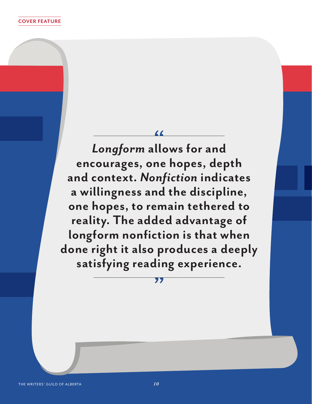*Longform* **allows for and encourages, one hopes, depth and context.** *Nonfiction* **indicates a willingness and the discipline, one hopes, to remain tethered to reality. The added advantage of longform nonfiction is that when done right it also produces a deeply satisfying reading experience.** 

77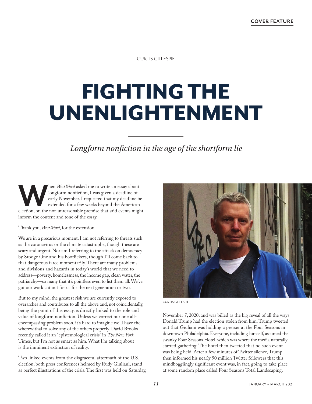CURTIS GILLESPIE

## FIGHTING THE UNENLIGHTENMENT

*Longform nonfiction in the age of the shortform lie*

**WestWord** asked me to write an essay about longform nonfiction, I was given a deadline of early November. I requested that my deadline be extended for a few weeks beyond the American election, on the not-unreasonable prem longform nonfiction, I was given a deadline of early November. I requested that my deadline be extended for a few weeks beyond the American inform the content and tone of the essay.

Thank you, *WestWord*, for the extension.

We are in a precarious moment. I am not referring to threats such as the coronavirus or the climate catastrophe, though these are scary and urgent. Nor am I referring to the attack on democracy by Stooge One and his bootlickers, though I'll come back to that dangerous farce momentarily. There are many problems and divisions and hazards in today's world that we need to address—poverty, homelessness, the income gap, clean water, the patriarchy—so many that it's pointless even to list them all. We've got our work cut out for us for the next generation or two.

But to my mind, the greatest risk we are currently exposed to overarches and contributes to all the above and, not coincidentally, being the point of this essay, is directly linked to the role and value of longform nonfiction. Unless we correct our one allencompassing problem soon, it's hard to imagine we'll have the wherewithal to solve any of the others properly. David Brooks recently called it an "epistemological crisis" in *The New York* Times, but I'm not as smart as him. What I'm talking about is the imminent extinction of reality.

Two linked events from the disgraceful aftermath of the U.S. election, both press conferences helmed by Rudy Giuliani, stand as perfect illustrations of the crisis. The first was held on Saturday,



CURTIS GILLESPIE

November 7, 2020, and was billed as the big reveal of all the ways Donald Trump had the election stolen from him. Trump tweeted out that Giuliani was holding a presser at the Four Seasons in downtown Philadelphia. Everyone, including himself, assumed the swanky Four Seasons Hotel, which was where the media naturally started gathering. The hotel then tweeted that no such event was being held. After a few minutes of Twitter silence, Trump then informed his nearly 90 million Twitter followers that this mindbogglingly significant event was, in fact, going to take place at some random place called Four Seasons Total Landscaping.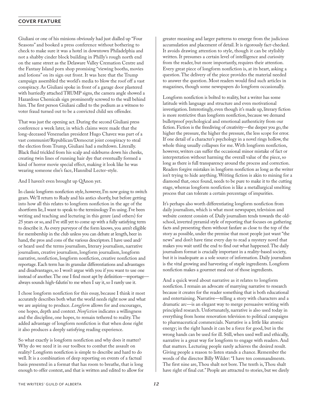## **COVER FEATURE**

Giuliani or one of his minions obviously had just dialled up "Four Seasons" and booked a press conference without bothering to check to make sure it was a hotel in downtown Philadelphia and not a shabby cinder block building in Philly's rough north end on the same street as the Delaware Valley Cremation Centre and the Fantasy Island porn shop promising "viewing booths, movies and lotions" on its sign out front. It was here that the Trump campaign assembled the world's media to blow the roof off a vast conspiracy. As Giuliani spoke in front of a garage door plastered with hurriedly attached TRUMP signs, the camera angle showed a Hazardous Chemicals sign prominently screwed to the wall behind him. The first person Giuliani called to the podium as a witness to voter fraud turned out to be a convicted child sex offender.

That was just the opening act. During the second Giuliani press conference a week later, in which claims were made that the long-deceased Venezuelan president Hugo Chavez was part of a vast communist/Republican/Democrat joint conspiracy to steal the election from Trump, Giuliani had a meltdown. Literally. Black fluid trickled from his scalp and sideburns down his cheeks, creating twin lines of running hair dye that eventually formed a kind of horror movie special effect, making it look like he was wearing someone else's face, Hannibal Lecter-style.

And I haven't even brought up QAnon yet.

In classic longform nonfiction style, however, I'm now going to switch gears. We'll return to Rudy and his antics shortly, but before getting into how all this relates to longform nonfiction in the age of the shortform lie, I want to speak to the terminology I'm using. I've been writing and teaching and lecturing in this genre (and others) for 25 years or so, and I've still yet to come up with a fully satisfying term to describe it. As every purveyor of the form knows, you aren't eligible for membership in the club unless you can debate at length, beer in hand, the pros and cons of the various descriptors. I have used and/ or heard used the terms journalism, literary journalism, narrative journalism, creative journalism, longform journalism, longform narrative, nonfiction, longform nonfiction, creative nonfiction and reportage. Each term has its granular differentiations and advantages and disadvantages, so I won't argue with you if you want to use one instead of another. The one I find most apt by definition—reportage always sounds high-falutin' to me when I say it, so I rarely use it.

I chose longform nonfiction for this essay, because I think it most accurately describes both what the world needs right now and what we are aspiring to produce. *Longform* allows for and encourages, one hopes, depth and context. *Nonfiction* indicates a willingness and the discipline, one hopes, to remain tethered to reality. The added advantage of longform nonfiction is that when done right it also produces a deeply satisfying reading experience.

So what exactly is longform nonfiction and why does it matter? Why do we need it in our toolbox to combat the assault on reality? Longform nonfiction is simple to describe and hard to do well. It is a combination of deep reporting on events of a factual basis presented in a format that has room to breathe, that is long enough to offer context, and that is written and edited to allow for greater meaning and larger patterns to emerge from the judicious accumulation and placement of detail. It is rigorously fact-checked. It avoids drawing attention to style, though it can be stylishly written. It presumes a certain level of intelligence and curiosity from the reader, but more importantly, requires their attention. Every great piece of longform nonfiction is, at its heart, asking a question. The delivery of the piece provides the material needed to answer the question. Most readers would find such articles in magazines, though some newspapers do longform occasionally.

Longform nonfiction is bolted to reality, but a writer has some latitude with language and structure and even motivational investigation. Interestingly, even though it's made up, literary fiction is more restrictive than longform nonfiction, because we demand bulletproof psychological and emotional authenticity from our fiction. Fiction is the freediving of creativity—the deeper you go, the higher the pressure, the higher the pressure, the less scope for error. If one detail of a character's psychology in a novel rings hollow, the whole thing usually collapses for me. With longform nonfiction, however, writers can suffer the occasional minor mistake of fact or interpretation without harming the overall value of the piece, so long as there is full transparency around the process and correction. Readers forgive mistakes in longform nonfiction as long as the writer isn't trying to hide anything. Writing fiction is akin to mining for a diamond that, once found, needs to be pure to make it to the cutting stage, whereas longform nonfiction is like a metallurgical smelting process that can tolerate a certain percentage of impurities.

It's perhaps also worth differentiating longform nonfiction from daily journalism, which is what most newspaper, television and website content consists of. Daily journalism tends towards the oldschool, inverted pyramid style of reporting that focuses on gathering facts and presenting them without fanfare as close to the top of the story as possible, under the premise that most people just want "the news" and don't have time every day to read a mystery novel that makes you wait until the end to find out what happened. The daily journalism format is crucially important in a reality-based society, but it is inadequate as a sole source of information. Daily journalism is the vital growing and harvesting of staple ingredients. Longform nonfiction makes a gourmet meal out of those ingredients.

And a quick word about narrative as it relates to longform nonfiction. I remain an advocate of marrying narrative to research because it creates for the reader something that is both educational and entertaining. Narrative—telling a story with characters and a dramatic arc—is an elegant way to merge persuasive writing with principled research. Unfortunately, narrative is also used today in everything from home renovation television to political campaigns to pharmaceutical commercials. Narrative is a little like atomic energy; in the right hands it can be a force for good, but in the wrong hands can be used for ill. Still, when used well and ethically, narrative is a great way for longform to engage with readers. And that matters. Lecturing people rarely achieves the desired result. Giving people a reason to listen stands a chance. Remember the words of the director Billy Wilder: "I have ten commandments. The first nine are, Thou shalt not bore. The tenth is, Thou shalt have right of final cut." People are attracted to stories, but we direly